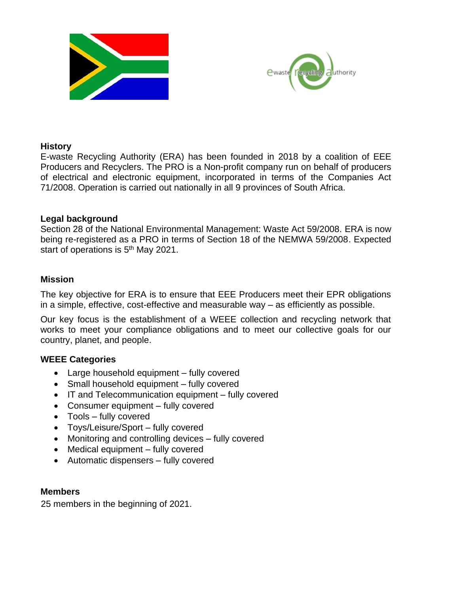



#### **History**

E-waste Recycling Authority (ERA) has been founded in 2018 by a coalition of EEE Producers and Recyclers. The PRO is a Non-profit company run on behalf of producers of electrical and electronic equipment, incorporated in terms of the Companies Act 71/2008. Operation is carried out nationally in all 9 provinces of South Africa.

## **Legal background**

Section 28 of the National Environmental Management: Waste Act 59/2008. ERA is now being re-registered as a PRO in terms of Section 18 of the NEMWA 59/2008. Expected start of operations is 5<sup>th</sup> May 2021.

## **Mission**

The key objective for ERA is to ensure that EEE Producers meet their EPR obligations in a simple, effective, cost-effective and measurable way – as efficiently as possible.

Our key focus is the establishment of a WEEE collection and recycling network that works to meet your compliance obligations and to meet our collective goals for our country, planet, and people.

## **WEEE Categories**

- Large household equipment fully covered
- Small household equipment fully covered
- IT and Telecommunication equipment fully covered
- Consumer equipment fully covered
- Tools fully covered
- Toys/Leisure/Sport fully covered
- Monitoring and controlling devices fully covered
- Medical equipment fully covered
- Automatic dispensers fully covered

#### **Members**

25 members in the beginning of 2021.